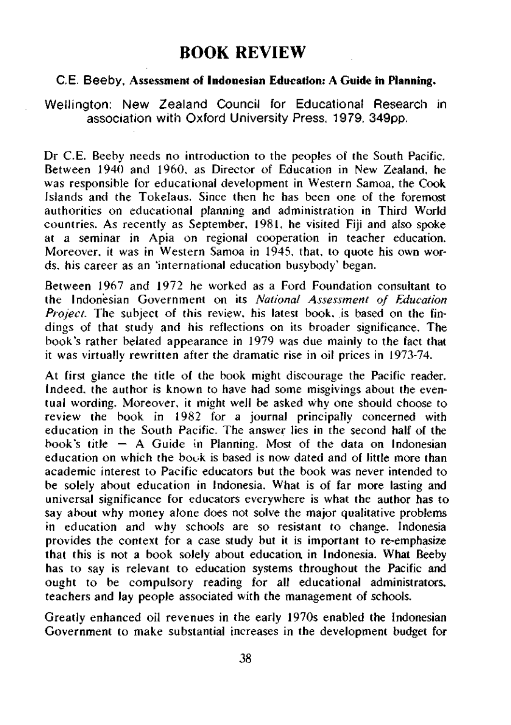## **BOOK REVIEW**

## **C.E. Beeby, Assessment of Indonesian Education: A Guide in Planning.**

Wellington: New Zealand Council for Educational Research in association with Oxford University Press, 1979, 349pp.

Dr C.E. Beeby needs no introduction to the peoples of the South Pacific. Between 1940 and 1960, as Director of Education in New Zealand, he was responsible for educational development in Western Samoa, the Cook Islands and the Tokelaus. Since then he has been one of the foremost authorities on educational planning and administration in Third World countries. As recently as September, 1981, he visited Fiji and also spoke at a seminar in Apia on regional cooperation in teacher education. Moreover, it was in Western Samoa in 1945, that, to quote his own words, his career as an 'international education busybody' began.

Between 1967 and 1972 he worked as a Ford Foundation consultant to the Indonesian Government on its *National Assessment of Education Project.* The subject of this review, his latest book, is based on the findings of that study and his reflections on its broader significance. The book's rather belated appearance in 1979 was due mainly to the fact that it was virtually rewritten after the dramatic rise in oil prices in 1973-74.

At first glance the title of the book might discourage the Pacific reader. Indeed, the author is known to have had some misgivings about the eventual wording. Moreover, it might well be asked why one should choose to review the book in 1982 for a journal principally concerned with education in the South Pacific. The answer lies in the second half of the book's title  $-$  A Guide in Planning. Most of the data on Indonesian education on which the book is based is now dated and of little more than academic interest to Pacific educators but the book was never intended to be solely about education in Indonesia. What is of far more lasting and universal significance for educators everywhere is what the author has to say about why money alone does not solve the major qualitative problems in education and why schools are so resistant to change. Indonesia provides the context for a case study but it is important to re-emphasize that this is not a book solely about education in Indonesia. What Beeby has to say is relevant to education systems throughout the Pacific and ought to be compulsory reading for all educational administrators, teachers and lay people associated with the management of schools.

Greatly enhanced oil revenues in the early 1970s enabled the Indonesian Government to make substantial increases in the development budget for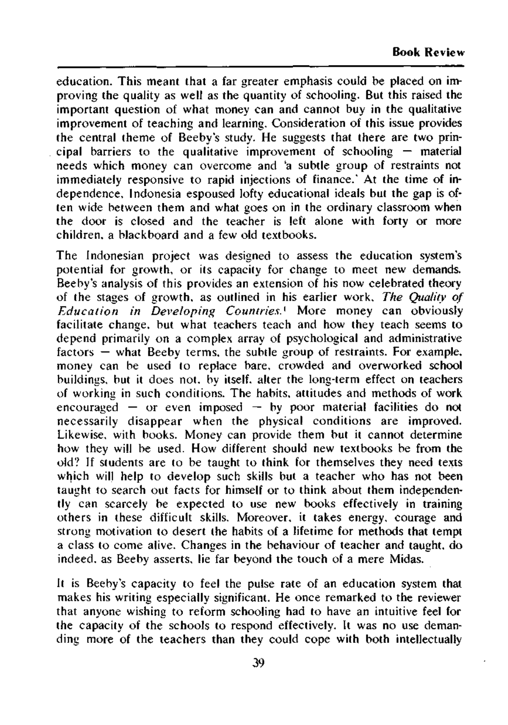education. This meant that a far greater emphasis could be placed on improving the quality as well as the quantity of schooling. But this raised the important question of what money can and cannot buy in the qualitative improvement of teaching and learning. Consideration of this issue provides the central theme of Beeby's study. He suggests that there are two principal barriers to the qualitative improvement of schooling  $-$  material needs which money can overcome and 'a subtle group of restraints not immediately responsive to rapid injections of finance.' At the time of independence, Indonesia espoused lofty educational ideals but the gap is often wide between them and what goes on in the ordinary classroom when the door is closed and the teacher is left alone with forty or more children, a blackboard and a few old textbooks.

The Indonesian project was designed to assess the education system's potential for growth, or its capacity for change to meet new demands. Beeby's analysis of this provides an extension of his now celebrated theory of the stages of growth, as outlined in his earlier work. *The Quality of Education in Developing Countries.*<sup>1</sup> More money can obviously facilitate change, but what teachers teach and how they teach seems to depend primarily on a complex array of psychological and administrative factors — what Beeby terms, the subtle group of restraints. For example, money can be used to replace bare, crowded and overworked school buildings, but it does not, by itself, alter the long-term effect on teachers of working in such conditions. The habits, attitudes and methods of work encouraged  $-$  or even imposed  $-$  by poor material facilities do not necessarily disappear when the physical conditions are improved. Likewise, with books. Money can provide them but it cannot determine how they will be used. How different should new textbooks be from the old? If students are to be taught to think for themselves they need texts which will help to develop such skills but a teacher who has not been taught to search out facts for himself or to think about them independently can scarcely be expected to use new books effectively in training others in these difficult skills. Moreover, it takes energy, courage and strong motivation to desert the habits of a lifetime for methods that tempt a class to come alive. Changes in the behaviour of teacher and taught, do indeed, as Beeby asserts, lie far beyond the touch of a mere Midas.

It is Beeby's capacity to feel the pulse rate of an education system that makes his writing especially significant. He once remarked to the reviewer that anyone wishing to reform schooling had to have an intuitive feel for the capacity of the schools to respond effectively. It was no use demanding more of the teachers than they could cope with both intellectually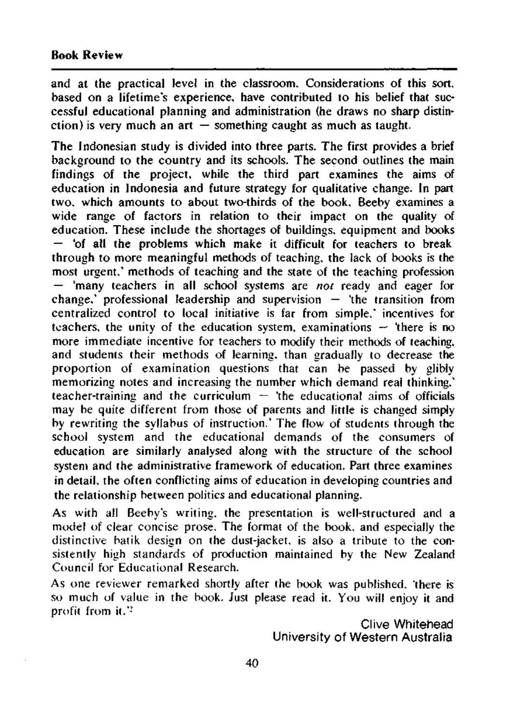and at the practical level in the classroom. Considerations of this sort, based on a lifetime's experience, have contributed to his belief that successful educational planning and administration (he draws no sharp distinction) is very much an art  $\frac{3}{4}$  something caught as much as taught.

The Indonesian study is divided into three parts. The first provides a brief background to the country and its schools. The second outlines the main findings of the project, while the third part examines the aims of education in Indonesia and future strategy for qualitative change. In part two, which amounts to about two-thirds of the book, Beeby examines a wide range of factors in relation to their impact on the quality of education. These include the shortages of buildings, equipment and books — 'of all the problems which make it difficult for teachers to break through to more meaningful methods of teaching, the lack of books is the most urgent,' methods of teaching and the state of the teaching profession — 'many teachers in all school systems are *not* ready and eager for change,' professional leadership and supervision  $-$  'the transition from centralized control to local initiative is far from simple,' incentives for teachers, the unity of the education system, examinations  $-$  'there is no more immediate incentive for teachers to modify their methods of teaching, and students their methods of learning, than gradually to decrease the proportion of examination questions that can be passed by glibly memorizing notes and increasing the number which demand real thinking,' teacher-training and the curriculum  $-$  'the educational aims of officials may be quite different from those of parents and little is changed simply by rewriting the syllabus of instruction.' The flow of students through the school system and the educational demands of the consumers of education are similarly analysed along with the structure of the school system and the administrative framework of education. Part three examines in detail, the often conflicting aims of education in developing countries and the relationship between politics and educational planning.

As with all Beeby's writing, the presentation is well-structured and a model of clear concise prose. The format of the book, and especially the distinctive batik design on the dust-jacket, is also a tribute to the consistently high standards of production maintained by the New Zealand Council for Educational Research.

As one reviewer remarked shortly after the book was published, 'there is so much of value in the book. Just please read it. You will enjoy it and profit from it.'<sup>2</sup>

> Clive Whitehead University of Western Australia